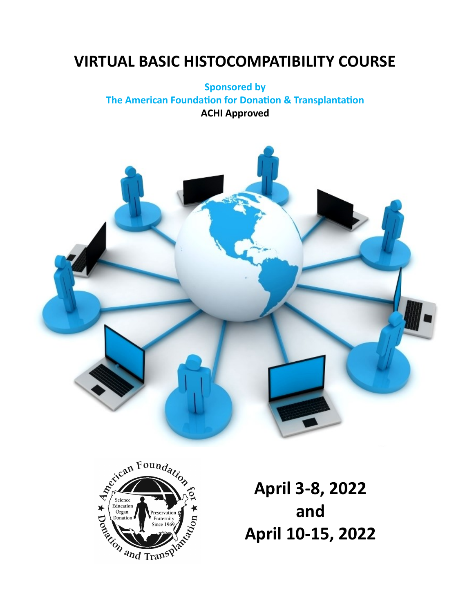# **VIRTUAL BASIC HISTOCOMPATIBILITY COURSE**

## **Sponsored by The American Foundation for Donation & Transplantation ACHI Approved**





**April 3-8, 2022 and April 10-15, 2022**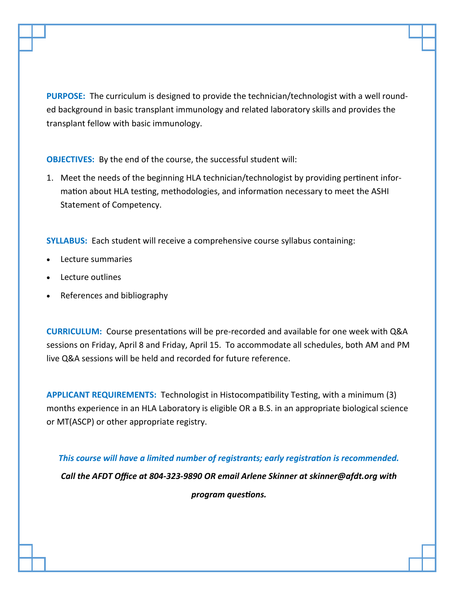**PURPOSE:** The curriculum is designed to provide the technician/technologist with a well rounded background in basic transplant immunology and related laboratory skills and provides the transplant fellow with basic immunology.

**OBJECTIVES:** By the end of the course, the successful student will:

1. Meet the needs of the beginning HLA technician/technologist by providing pertinent information about HLA testing, methodologies, and information necessary to meet the ASHI Statement of Competency.

**SYLLABUS:** Each student will receive a comprehensive course syllabus containing:

- Lecture summaries
- Lecture outlines
- References and bibliography

**CURRICULUM:** Course presentations will be pre-recorded and available for one week with Q&A sessions on Friday, April 8 and Friday, April 15. To accommodate all schedules, both AM and PM live Q&A sessions will be held and recorded for future reference.

**APPLICANT REQUIREMENTS:** Technologist in Histocompatibility Testing, with a minimum (3) months experience in an HLA Laboratory is eligible OR a B.S. in an appropriate biological science or MT(ASCP) or other appropriate registry.

*This course will have a limited number of registrants; early registration is recommended.*

*Call the AFDT Office at 804-323-9890 OR email Arlene Skinner at skinner@afdt.org with program questions.*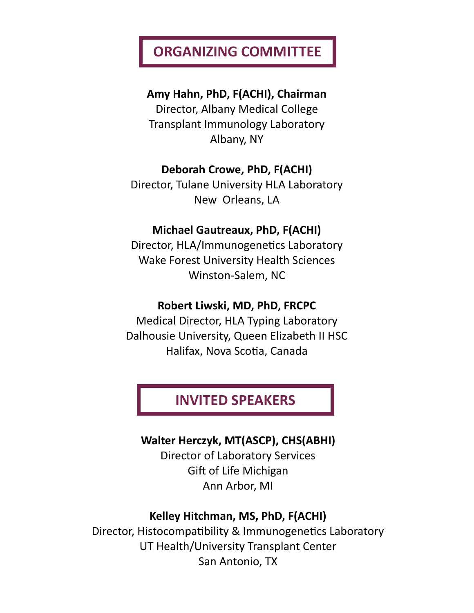# **ORGANIZING COMMITTEE**

**Amy Hahn, PhD, F(ACHI), Chairman**

Director, Albany Medical College Transplant Immunology Laboratory Albany, NY

## **Deborah Crowe, PhD, F(ACHI)**

Director, Tulane University HLA Laboratory New Orleans, LA

## **Michael Gautreaux, PhD, F(ACHI)**

Director, HLA/Immunogenetics Laboratory Wake Forest University Health Sciences Winston-Salem, NC

## **Robert Liwski, MD, PhD, FRCPC**

Medical Director, HLA Typing Laboratory Dalhousie University, Queen Elizabeth II HSC Halifax, Nova Scotia, Canada

# **INVITED SPEAKERS**

## **Walter Herczyk, MT(ASCP), CHS(ABHI)**

Director of Laboratory Services Gift of Life Michigan Ann Arbor, MI

## **Kelley Hitchman, MS, PhD, F(ACHI)**

Director, Histocompatibility & Immunogenetics Laboratory UT Health/University Transplant Center San Antonio, TX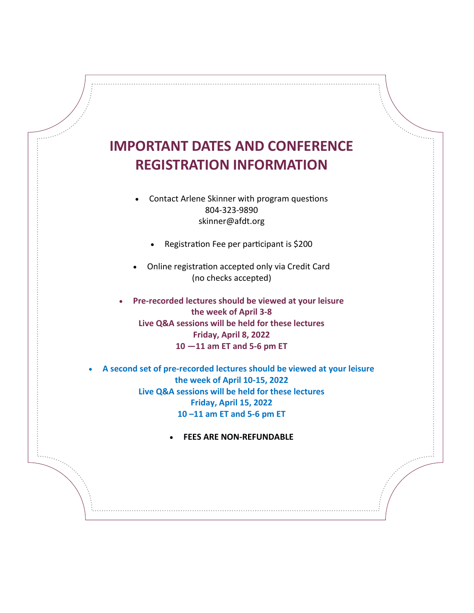

• Contact Arlene Skinner with program questions 804-323-9890 skinner@afdt.org

• Registration Fee per participant is \$200

• Online registration accepted only via Credit Card (no checks accepted)

• **Pre-recorded lectures should be viewed at your leisure the week of April 3-8 Live Q&A sessions will be held for these lectures Friday, April 8, 2022 10 —11 am ET and 5-6 pm ET**

• **A second set of pre-recorded lectures should be viewed at your leisure the week of April 10-15, 2022 Live Q&A sessions will be held for these lectures Friday, April 15, 2022 10 –11 am ET and 5-6 pm ET**

• **FEES ARE NON-REFUNDABLE**

 $e^{e^{e^{e^{e^{e^{e^{e^{e^{e^{e^{e^{e^{e^{e^{e^{e^{\cdot}}}}}}}}}}}}}}$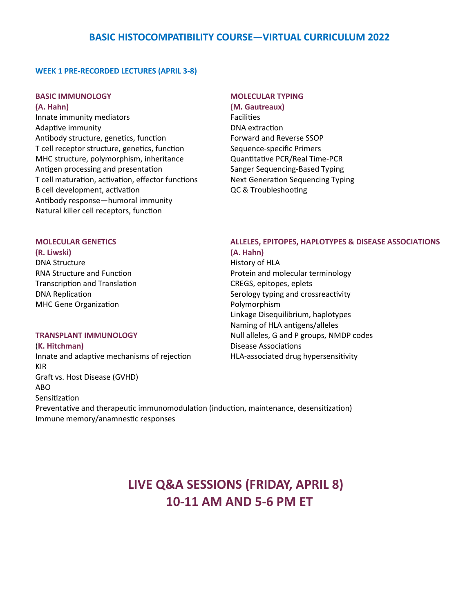## **BASIC HISTOCOMPATIBILITY COURSE—VIRTUAL CURRICULUM 2022**

### **WEEK 1 PRE-RECORDED LECTURES (APRIL 3-8)**

### **BASIC IMMUNOLOGY MOLECULAR TYPING**

**(A. Hahn) (M. Gautreaux)** Innate immunity mediators **Facilities** Adaptive immunity and a set of the DNA extraction Antibody structure, genetics, function Forward and Reverse SSOP T cell receptor structure, genetics, function Sequence-specific Primers MHC structure, polymorphism, inheritance Quantitative PCR/Real Time-PCR Antigen processing and presentation Sanger Sequencing-Based Typing T cell maturation, activation, effector functions Next Generation Sequencing Typing B cell development, activation QC & Troubleshooting Antibody response—humoral immunity Natural killer cell receptors, function

- 
- 

**(R. Liwski) (A. Hahn)** DNA Structure **History of HLA** Transcription and Translation CREGS, epitopes, eplets MHC Gene Organization **Polymorphism** 

(**K. Hitchman)** Disease Associations Innate and adaptive mechanisms of rejection HLA-associated drug hypersensitivity KIR Graft vs. Host Disease (GVHD) ABO Sensitization Preventative and therapeutic immunomodulation (induction, maintenance, desensitization) Immune memory/anamnestic responses

### **MOLECULAR GENETICS ALLELES, EPITOPES, HAPLOTYPES & DISEASE ASSOCIATIONS**

RNA Structure and Function **Protein and molecular terminology** DNA Replication Serology typing and crossreactivity Linkage Disequilibrium, haplotypes Naming of HLA antigens/alleles **TRANSPLANT IMMUNOLOGY** Null alleles, G and P groups, NMDP codes

# **LIVE Q&A SESSIONS (FRIDAY, APRIL 8) 10-11 AM AND 5-6 PM ET**